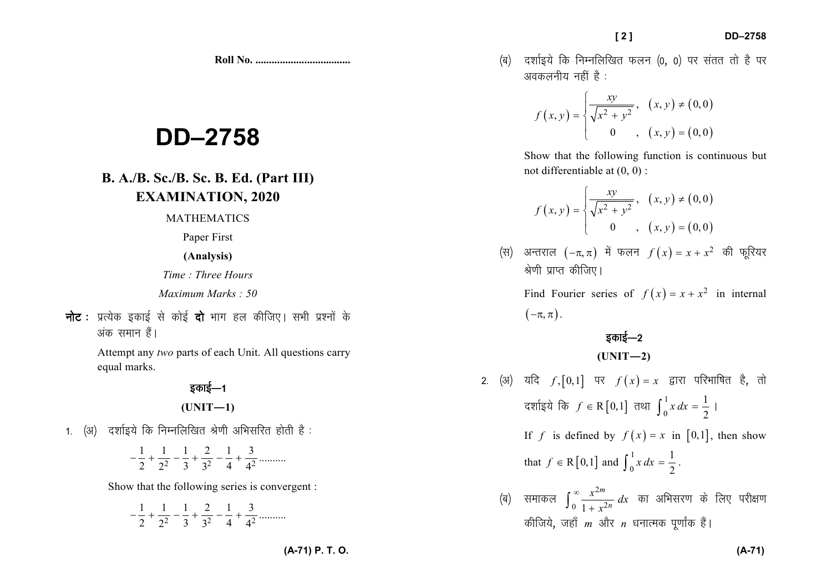**Roll No. ...................................** 

# **DD–2758**

### **B. A./B. Sc./B. Sc. B. Ed. (Part III) EXAMINATION, 2020**

MATHEMATICS

Paper First

**(Analysis)**

*Time : Three Hours* 

*Maximum Marks : 50*

*uksV %izR;sd bdkbZ ls dksbZ nks Hkkx gy dhft,A lHkh iz'uksa d¢* अंक समान हैं।

> Attempt any *two* parts of each Unit. All questions carry equal marks.

#### <u>5काई—1</u> **(UNIT—1)**

1. *(अ) दर्शाइये कि निम्नलिखित श्रेणी अभिसरित होती है* :

2 3  $3^2$  4  $4^2$  $-\frac{1}{2} + \frac{1}{2^2} - \frac{1}{3} + \frac{2}{3^2} - \frac{1}{4} + \frac{3}{4^2}$  ..........

Show that the following series is convergent :

2 3  $3^2$  4  $4^2$  $-\frac{1}{2} + \frac{1}{2^2} - \frac{1}{3} + \frac{2}{3^2} - \frac{1}{4} + \frac{3}{4^2}$  .......... *¼c½ n'kkZb;s fd fuEufyf[kr Qyu ¼0*] *0½ ij larr rks gS ij vodyuh; ugha gS %* 

$$
f(x, y) = \begin{cases} \frac{xy}{\sqrt{x^2 + y^2}}, & (x, y) \neq (0, 0) \\ 0, & (x, y) = (0, 0) \end{cases}
$$

Show that the following function is continuous but not differentiable at (0, 0) :

$$
f(x, y) = \begin{cases} \frac{xy}{\sqrt{x^2 + y^2}}, & (x, y) \neq (0, 0) \\ 0 & , (x, y) = (0, 0) \end{cases}
$$

(स) अन्तराल 
$$
(-\pi, \pi)
$$
 में फलन  $f(x) = x + x^2$  की फूरियर   
श्रेणी प्राप्त कीजिए।

Find Fourier series of  $f(x) = x + x^2$  in internal  $\big( \neg \pi, \pi \big)$  .

## *bdkbZ*&*<sup>2</sup>*

 $(UNIT-2)$ 

- 2. (अ) यदि *f*, $[0,1]$  पर  $f(x) = x$  द्वारा परिभाषित है, तो *z* दर्शाइये कि *f* ∈ R  $[0,1]$  तथा  $\int_0^1 x \, dx = \frac{1}{2}$  | If *f* is defined by  $f(x) = x$  in [0,1], then show that  $f \in R[0,1]$  and  $\int_0^1 x \, dx = \frac{1}{2}$ .
	- (ब) समाकल  $\int_0^\infty \frac{x^{2m}}{1+x^2}$ *की*जिये, जहाँ *m* और *n* धनात्मक पूर्णांक हैं। *m*<br>...2*n*  $\frac{x^{2n}}{x}$  $\int_0^\infty \frac{x^{2m}}{1+x^{2n}} dx$  का अभिसरण के लिए परीक्षण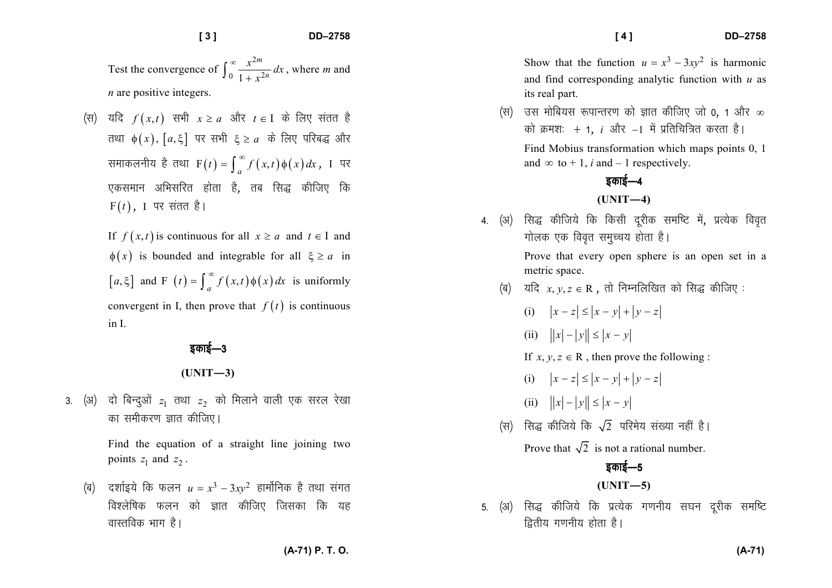Test the convergence of  $\int_0^\infty \frac{x^{2m}}{1+x^2}$ *m n* $\frac{x^{2m}}{x^{2n}}dx$  $\int_0^\infty \frac{x^{2m}}{1 + x^{2n}} dx$ , where *m* and

*n* are positive integers.

*(स)* यदि  $f(x,t)$  सभी  $x \ge a$  और  $t \in I$  के लिए संतत है  $\pi$ श्या  $\phi(x)$ ,  $[a, \xi]$  पर सभी  $\xi \ge a$  के लिए परिबद्ध और  $\mathbb{R}$ माकलनीय है तथा  $F(t) = \int_{a}^{\infty} f(x, t) \phi(x) dx$ , I पर ,<br>एकसमान अभिसरित होता है, तब सिद्ध कीजिए कि  $\mathrm{F}\!\left( t\right)$ , I पर संतत है।

If  $f(x,t)$  is continuous for all  $x \ge a$  and  $t \in I$  and  $\phi(x)$  is bounded and integrable for all  $\xi \ge a$  in  $[a, \xi]$  and F  $(t) = \int_{a}^{\infty} f(x, t) \phi(x) dx$  is uniformly convergent in I, then prove that  $f(t)$  is continuous in I.

*bdkbZ*&*<sup>3</sup>*

**(UNIT—3)** 

3. (अ) दो बिन्दुओं  $z_1$  तथा  $z_2$  को मिलाने वाली एक सरल रेखा *का* समीकरण ज्ञात कीजिए।

> Find the equation of a straight line joining two points  $z_1$  and  $z_2$ .

 $\oint$ (ब) दर्शाइये कि फलन  $u = x^3 - 3xy^2$  हार्मोनिक है तथा संगत *fo'ysf"kd Qyu dks Kkr dhft, ftldk fd ;g a*ास्तविक भाग है।

Show that the function  $u = x^3 - 3xy^2$  is harmonic and find corresponding analytic function with *u* as its real part.

*¼l½ ml eksfc;l :ikUrj.k dks Kkr dhft, tks 0*] *1 vkSj* <sup>∞</sup>*को क्रमशः +* 1, *i और −*1 में प्रतिचित्रित करता है। Find Mobius transformation which maps points 0, 1 and  $\infty$  to + 1, *i* and – 1 respectively.

*bdkbZ*&*<sup>4</sup>***(UNIT—4)** 

- 4. (अ) सिद्ध कीजिये कि किसी दूरीक समष्टि में, प्रत्येक विवृत *xksyd ,d foo`r leqPp; gksrk gSA* Prove that every open sphere is an open set in a metric space.
	- *(ब)* यदि  $x, y, z \in \mathbb{R}$ , तो निम्नलिखित को सिद्ध कीजिए:
		- (i)  $|x-z| \le |x-y| + |y-z|$
		- (ii)  $||x| |y|| \le |x y|$
		- If  $x, y, z \in \mathbb{R}$ , then prove the following :
		- (i)  $|x-z| \le |x-y| + |y-z|$
		- (ii)  $||x| |y|| \le |x y|$
	- $\frac{1}{2}$  (स) सिद्ध कीजिये कि  $\sqrt{2}$  परिमेय संख्या नहीं है।

Prove that  $\sqrt{2}$  is not a rational number.

#### *bdkbZ*&*<sup>5</sup>*

**(UNIT—5)** 

5. (अ) सिद्ध कीजिये कि प्रत्येक गणनीय सघन दूरीक समष्टि *द्वितीय गणनीय होता है।* 

 **[ 4 ] DD–2758**